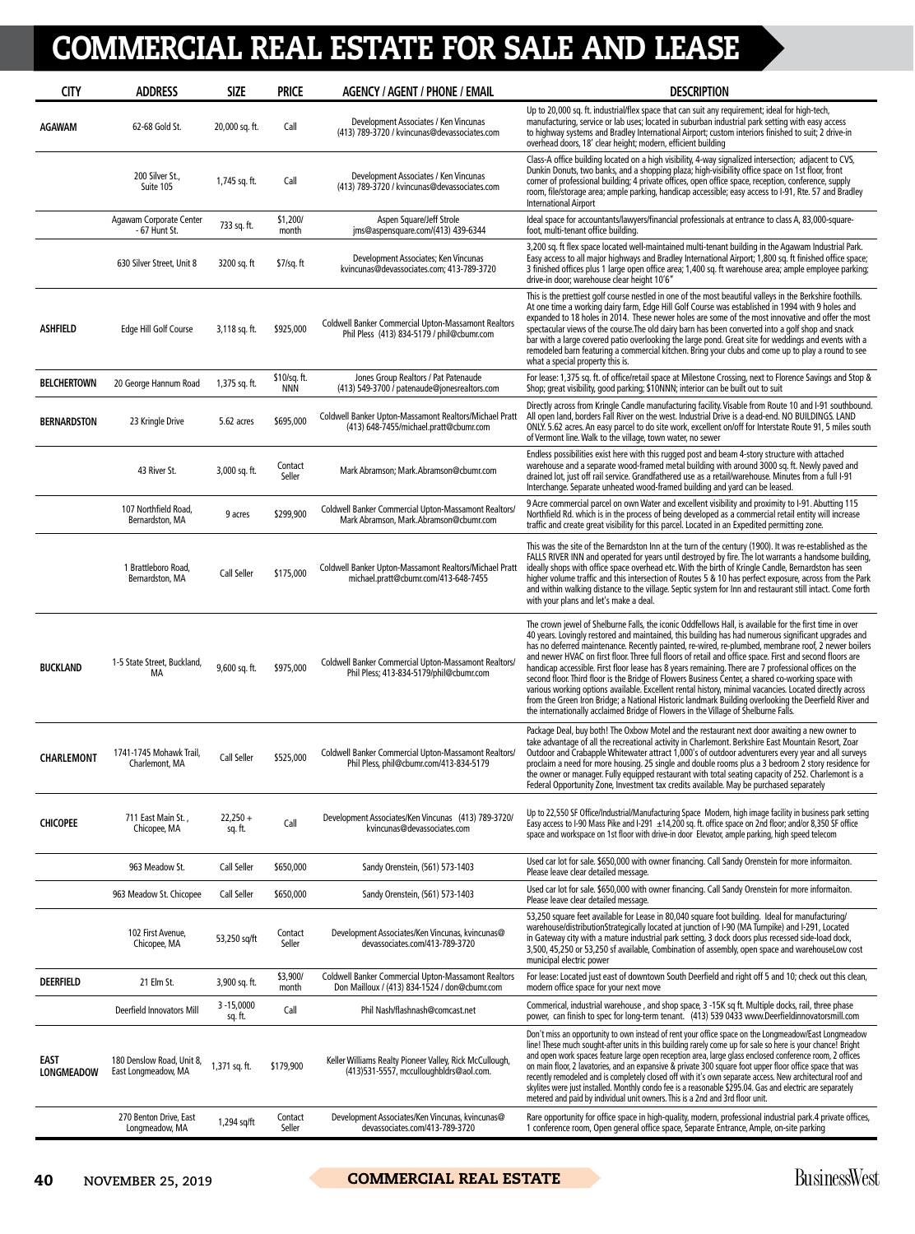## COMMERCIAL REAL ESTATE FOR SALE AND LEASE

| <b>CITY</b>                      | <b>ADDRESS</b>                                   | <b>SIZE</b>              | <b>PRICE</b>               | <b>AGENCY / AGENT / PHONE / EMAIL</b>                                                                       | <b>DESCRIPTION</b>                                                                                                                                                                                                                                                                                                                                                                                                                                                                                                                                                                                                                                                                                                                                                                                                                                                                                                                                         |
|----------------------------------|--------------------------------------------------|--------------------------|----------------------------|-------------------------------------------------------------------------------------------------------------|------------------------------------------------------------------------------------------------------------------------------------------------------------------------------------------------------------------------------------------------------------------------------------------------------------------------------------------------------------------------------------------------------------------------------------------------------------------------------------------------------------------------------------------------------------------------------------------------------------------------------------------------------------------------------------------------------------------------------------------------------------------------------------------------------------------------------------------------------------------------------------------------------------------------------------------------------------|
| <b>AGAWAM</b>                    | 62-68 Gold St.                                   | 20,000 sq. ft.           | Call                       | Development Associates / Ken Vincunas<br>(413) 789-3720 / kvincunas@devassociates.com                       | Up to 20,000 sq. ft. industrial/flex space that can suit any requirement; ideal for high-tech,<br>manufacturing, service or lab uses; located in suburban industrial park setting with easy access<br>to highway systems and Bradley International Airport; custom interiors finished to suit; 2 drive-in<br>overhead doors, 18' clear height; modern, efficient building                                                                                                                                                                                                                                                                                                                                                                                                                                                                                                                                                                                  |
|                                  | 200 Silver St.,<br>Suite 105                     | 1,745 sq. ft.            | Call                       | Development Associates / Ken Vincunas<br>(413) 789-3720 / kvincunas@devassociates.com                       | Class-A office building located on a high visibility, 4-way signalized intersection; adjacent to CVS,<br>Dunkin Donuts, two banks, and a shopping plaza; high-visibility office space on 1st floor, front<br>corner of professional building; 4 private offices, open office space, reception, conference, supply<br>room, file/storage area; ample parking, handicap accessible; easy access to I-91, Rte. 57 and Bradley<br><b>International Airport</b>                                                                                                                                                                                                                                                                                                                                                                                                                                                                                                 |
|                                  | Agawam Corporate Center<br>- 67 Hunt St.         | 733 sq. ft.              | \$1,200/<br>month          | Aspen Square/Jeff Strole<br>ims@aspensquare.com/(413) 439-6344                                              | Ideal space for accountants/lawyers/financial professionals at entrance to class A, 83,000-square-<br>foot, multi-tenant office building.                                                                                                                                                                                                                                                                                                                                                                                                                                                                                                                                                                                                                                                                                                                                                                                                                  |
|                                  | 630 Silver Street, Unit 8                        | 3200 sq. ft              | \$7/sq. ft                 | Development Associates; Ken Vincunas<br>kvincunas@devassociates.com; 413-789-3720                           | 3,200 sq. ft flex space located well-maintained multi-tenant building in the Agawam Industrial Park.<br>Easy access to all major highways and Bradley International Airport; 1,800 sq. ft finished office space;<br>3 finished offices plus 1 large open office area; 1,400 sq. ft warehouse area; ample employee parking;<br>drive-in door; warehouse clear height 10'6"                                                                                                                                                                                                                                                                                                                                                                                                                                                                                                                                                                                  |
| ASHFIELD                         | Edge Hill Golf Course                            | 3,118 sq. ft.            | \$925,000                  | <b>Coldwell Banker Commercial Upton-Massamont Realtors</b><br>Phil Pless (413) 834-5179 / phil@cbumr.com    | This is the prettiest golf course nestled in one of the most beautiful valleys in the Berkshire foothills.<br>At one time a working dairy farm, Edge Hill Golf Course was established in 1994 with 9 holes and<br>expanded to 18 holes in 2014. These newer holes are some of the most innovative and offer the most<br>spectacular views of the course. The old dairy barn has been converted into a golf shop and snack<br>bar with a large covered patio overlooking the large pond. Great site for weddings and events with a<br>remodeled barn featuring a commercial kitchen. Bring your clubs and come up to play a round to see<br>what a special property this is.                                                                                                                                                                                                                                                                                |
| <b>BELCHERTOWN</b>               | 20 George Hannum Road                            | 1,375 sq. ft.            | \$10/sq. ft.<br><b>NNN</b> | Jones Group Realtors / Pat Patenaude<br>(413) 549-3700 / patenaude@jonesrealtors.com                        | For lease: 1,375 sq. ft. of office/retail space at Milestone Crossing, next to Florence Savings and Stop &<br>Shop; great visibility, good parking; \$10NNN; interior can be built out to suit                                                                                                                                                                                                                                                                                                                                                                                                                                                                                                                                                                                                                                                                                                                                                             |
| <b>BERNARDSTON</b>               | 23 Kringle Drive                                 | 5.62 acres               | \$695,000                  | Coldwell Banker Upton-Massamont Realtors/Michael Pratt<br>(413) 648-7455/michael.pratt@cbumr.com            | Directly across from Kringle Candle manufacturing facility. Visable from Route 10 and I-91 southbound.<br>All open land, borders Fall River on the west. Industrial Drive is a dead-end. NO BUILDINGS. LAND<br>ONLY. 5.62 acres. An easy parcel to do site work, excellent on/off for Interstate Route 91, 5 miles south<br>of Vermont line. Walk to the village, town water, no sewer                                                                                                                                                                                                                                                                                                                                                                                                                                                                                                                                                                     |
|                                  | 43 River St.                                     | 3,000 sq. ft.            | Contact<br>Seller          | Mark Abramson; Mark.Abramson@cbumr.com                                                                      | Endless possibilities exist here with this rugged post and beam 4-story structure with attached<br>warehouse and a separate wood-framed metal building with around 3000 sq. ft. Newly paved and<br>drained lot, just off rail service. Grandfathered use as a retail/warehouse. Minutes from a full I-91<br>Interchange. Separate unheated wood-framed building and yard can be leased.                                                                                                                                                                                                                                                                                                                                                                                                                                                                                                                                                                    |
|                                  | 107 Northfield Road,<br>Bernardston, MA          | 9 acres                  | \$299,900                  | Coldwell Banker Commercial Upton-Massamont Realtors/<br>Mark Abramson, Mark.Abramson@cbumr.com              | 9 Acre commercial parcel on own Water and excellent visibility and proximity to I-91. Abutting 115<br>Northfield Rd. which is in the process of being developed as a commercial retail entity will increase<br>traffic and create great visibility for this parcel. Located in an Expedited permitting zone.                                                                                                                                                                                                                                                                                                                                                                                                                                                                                                                                                                                                                                               |
|                                  | 1 Brattleboro Road,<br>Bernardston, MA           | Call Seller              | \$175,000                  | Coldwell Banker Upton-Massamont Realtors/Michael Pratt<br>michael.pratt@cbumr.com/413-648-7455              | This was the site of the Bernardston Inn at the turn of the century (1900). It was re-established as the<br>FALLS RIVER INN and operated for years until destroyed by fire. The lot warrants a handsome building,<br>ideally shops with office space overhead etc. With the birth of Kringle Candle, Bernardston has seen<br>higher volume traffic and this intersection of Routes 5 & 10 has perfect exposure, across from the Park<br>and within walking distance to the village. Septic system for Inn and restaurant still intact. Come forth<br>with your plans and let's make a deal.                                                                                                                                                                                                                                                                                                                                                                |
| <b>BUCKLAND</b>                  | 1-5 State Street, Buckland,<br>МA                | 9,600 sq. ft.            | \$975,000                  | Coldwell Banker Commercial Upton-Massamont Realtors/<br>Phil Pless; 413-834-5179/phil@cbumr.com             | The crown jewel of Shelburne Falls, the iconic Oddfellows Hall, is available for the first time in over<br>40 years. Lovingly restored and maintained, this building has had numerous significant upgrades and<br>has no deferred maintenance. Recently painted, re-wired, re-plumbed, membrane roof, 2 newer boilers<br>and newer HVAC on first floor. Three full floors of retail and office space. First and second floors are<br>handicap accessible. First floor lease has 8 years remaining. There are 7 professional offices on the<br>second floor. Third floor is the Bridge of Flowers Business Center, a shared co-working space with<br>various working options available. Excellent rental history, minimal vacancies. Located directly across<br>from the Green Iron Bridge; a National Historic landmark Building overlooking the Deerfield River and<br>the internationally acclaimed Bridge of Flowers in the Village of Shelburne Falls. |
| <b>CHARLEMONT</b>                | 1741-1745 Mohawk Trail,<br>Charlemont, MA        | Call Seller              | \$525,000                  | Coldwell Banker Commercial Upton-Massamont Realtors/<br>Phil Pless, phil@cbumr.com/413-834-5179             | Package Deal, buy both! The Oxbow Motel and the restaurant next door awaiting a new owner to<br>take advantage of all the recreational activity in Charlemont. Berkshire East Mountain Resort, Zoar<br>Outdoor and Crabapple Whitewater attract 1,000's of outdoor adventurers every year and all surveys<br>proclaim a need for more housing. 25 single and double rooms plus a 3 bedroom 2 story residence for<br>the owner or manager. Fully equipped restaurant with total seating capacity of 252. Charlemont is a<br>Federal Opportunity Zone, Investment tax credits available. May be purchased separately                                                                                                                                                                                                                                                                                                                                         |
| <b>CHICOPEE</b>                  | 711 East Main St.,<br>Chicopee, MA               | $22,250 +$<br>sq. ft.    | Call                       | Development Associates/Ken Vincunas (413) 789-3720/<br>kvincunas@devassociates.com                          | Up to 22,550 SF Office/Industrial/Manufacturing Space Modern, high image facility in business park setting<br>Easy access to I-90 Mass Pike and I-291 ±14,200 sq. ft. office space on 2nd floor; and/or 8,350 SF office<br>space and workspace on 1st floor with drive-in door Elevator, ample parking, high speed telecom                                                                                                                                                                                                                                                                                                                                                                                                                                                                                                                                                                                                                                 |
|                                  | 963 Meadow St.                                   | Call Seller              | \$650,000                  | Sandy Orenstein, (561) 573-1403                                                                             | Used car lot for sale. \$650,000 with owner financing. Call Sandy Orenstein for more informaiton.<br>Please leave clear detailed message.                                                                                                                                                                                                                                                                                                                                                                                                                                                                                                                                                                                                                                                                                                                                                                                                                  |
|                                  | 963 Meadow St. Chicopee                          | Call Seller              | \$650,000                  | Sandy Orenstein, (561) 573-1403                                                                             | Used car lot for sale. \$650,000 with owner financing. Call Sandy Orenstein for more informaiton.<br>Please leave clear detailed message.                                                                                                                                                                                                                                                                                                                                                                                                                                                                                                                                                                                                                                                                                                                                                                                                                  |
|                                  | 102 First Avenue,<br>Chicopee, MA                | 53,250 sq/ft             | Contact<br>Seller          | Development Associates/Ken Vincunas, kvincunas@<br>devassociates.com/413-789-3720                           | 53,250 square feet available for Lease in 80,040 square foot building. Ideal for manufacturing/<br>warehouse/distributionStrategically located at junction of I-90 (MA Turnpike) and I-291, Located<br>in Gateway city with a mature industrial park setting, 3 dock doors plus recessed side-load dock,<br>3,500, 45,250 or 53,250 sf available, Combination of assembly, open space and warehouseLow cost<br>municipal electric power                                                                                                                                                                                                                                                                                                                                                                                                                                                                                                                    |
| <b>DEERFIELD</b>                 | 21 Elm St.                                       | 3,900 sq. ft.            | \$3,900/<br>month          | <b>Coldwell Banker Commercial Upton-Massamont Realtors</b><br>Don Mailloux / (413) 834-1524 / don@cbumr.com | For lease: Located just east of downtown South Deerfield and right off 5 and 10; check out this clean,<br>modern office space for your next move                                                                                                                                                                                                                                                                                                                                                                                                                                                                                                                                                                                                                                                                                                                                                                                                           |
|                                  | Deerfield Innovators Mill                        | $3 - 15,0000$<br>sq. ft. | Call                       | Phil Nash/flashnash@comcast.net                                                                             | Commerical, industrial warehouse, and shop space, 3 -15K sq ft. Multiple docks, rail, three phase<br>power, can finish to spec for long-term tenant. (413) 539 0433 www.Deerfieldinnovatorsmill.com                                                                                                                                                                                                                                                                                                                                                                                                                                                                                                                                                                                                                                                                                                                                                        |
| <b>EAST</b><br><b>LONGMEADOW</b> | 180 Denslow Road, Unit 8,<br>East Longmeadow, MA | 1,371 sq. ft.            | \$179,900                  | Keller Williams Realty Pioneer Valley, Rick McCullough,<br>(413)531-5557, mcculloughbldrs@aol.com.          | Don't miss an opportunity to own instead of rent your office space on the Longmeadow/East Longmeadow<br>line! These much sought-after units in this building rarely come up for sale so here is your chance! Bright<br>and open work spaces feature large open reception area, large glass enclosed conference room, 2 offices<br>on main floor, 2 lavatories, and an expansive & private 300 square foot upper floor office space that was<br>recently remodeled and is completely closed off with it's own separate access. New architectural roof and<br>skylites were just installed. Monthly condo fee is a reasonable \$295.04. Gas and electric are separately<br>metered and paid by individual unit owners. This is a 2nd and 3rd floor unit.                                                                                                                                                                                                     |
|                                  | 270 Benton Drive, East<br>Longmeadow, MA         | 1,294 sq/ft              | Contact<br>Seller          | Development Associates/Ken Vincunas, kvincunas@<br>devassociates.com/413-789-3720                           | Rare opportunity for office space in high-quality, modern, professional industrial park.4 private offices,<br>1 conference room, Open general office space, Separate Entrance, Ample, on-site parking                                                                                                                                                                                                                                                                                                                                                                                                                                                                                                                                                                                                                                                                                                                                                      |

40 NOVEMBER 25, 2019 **COMMERCIAL REAL ESTATE** BusinessWest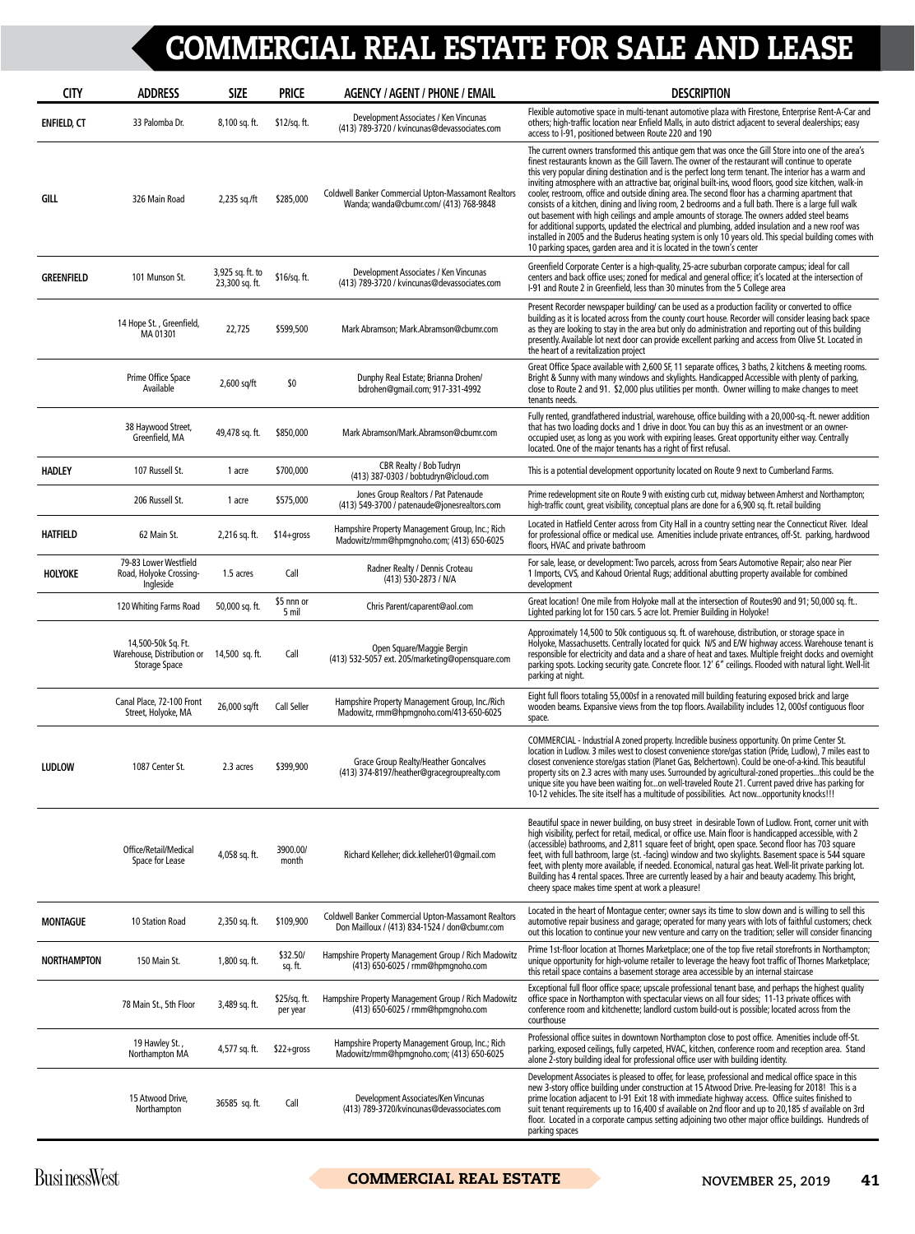## COMMERCIAL REAL ESTATE FOR SALE AND LEASE

| <b>CITY</b>        | <b>ADDRESS</b>                                                                   | <b>SIZE</b>                        | <b>PRICE</b>             | <b>AGENCY / AGENT / PHONE / EMAIL</b>                                                                       | <b>DESCRIPTION</b>                                                                                                                                                                                                                                                                                                                                                                                                                                                                                                                                                                                                                                                                                                                                                                                                                                                                                                                                                                                                               |
|--------------------|----------------------------------------------------------------------------------|------------------------------------|--------------------------|-------------------------------------------------------------------------------------------------------------|----------------------------------------------------------------------------------------------------------------------------------------------------------------------------------------------------------------------------------------------------------------------------------------------------------------------------------------------------------------------------------------------------------------------------------------------------------------------------------------------------------------------------------------------------------------------------------------------------------------------------------------------------------------------------------------------------------------------------------------------------------------------------------------------------------------------------------------------------------------------------------------------------------------------------------------------------------------------------------------------------------------------------------|
| <b>ENFIELD, CT</b> | 33 Palomba Dr.                                                                   | 8,100 sq. ft.                      | \$12/sq. ft.             | Development Associates / Ken Vincunas<br>(413) 789-3720 / kvincunas@devassociates.com                       | Flexible automotive space in multi-tenant automotive plaza with Firestone, Enterprise Rent-A-Car and<br>others; high-traffic location near Enfield Malls, in auto district adjacent to several dealerships; easy<br>access to I-91, positioned between Route 220 and 190                                                                                                                                                                                                                                                                                                                                                                                                                                                                                                                                                                                                                                                                                                                                                         |
| GILL               | 326 Main Road                                                                    | 2,235 sq./ft                       | \$285,000                | <b>Coldwell Banker Commercial Upton-Massamont Realtors</b><br>Wanda; wanda@cbumr.com/ (413) 768-9848        | The current owners transformed this antique gem that was once the Gill Store into one of the area's<br>finest restaurants known as the Gill Tavern. The owner of the restaurant will continue to operate<br>this very popular dining destination and is the perfect long term tenant. The interior has a warm and<br>inviting atmosphere with an attractive bar, original built-ins, wood floors, good size kitchen, walk-in<br>cooler, restroom, office and outside dining area. The second floor has a charming apartment that<br>consists of a kitchen, dining and living room, 2 bedrooms and a full bath. There is a large full walk<br>out basement with high ceilings and ample amounts of storage. The owners added steel beams<br>for additional supports, updated the electrical and plumbing, added insulation and a new roof was<br>installed in 2005 and the Buderus heating system is only 10 years old. This special building comes with<br>10 parking spaces, garden area and it is located in the town's center |
| <b>GREENFIELD</b>  | 101 Munson St.                                                                   | 3,925 sq. ft. to<br>23,300 sq. ft. | \$16/sq. ft.             | Development Associates / Ken Vincunas<br>(413) 789-3720 / kvincunas@devassociates.com                       | Greenfield Corporate Center is a high-quality, 25-acre suburban corporate campus; ideal for call<br>centers and back office uses; zoned for medical and general office; it's located at the intersection of<br>I-91 and Route 2 in Greenfield, less than 30 minutes from the 5 College area                                                                                                                                                                                                                                                                                                                                                                                                                                                                                                                                                                                                                                                                                                                                      |
|                    | 14 Hope St., Greenfield,<br>MA 01301                                             | 22,725                             | \$599,500                | Mark Abramson; Mark.Abramson@cbumr.com                                                                      | Present Recorder newspaper building/can be used as a production facility or converted to office<br>building as it is located across from the county court house. Recorder will consider leasing back space<br>as they are looking to stay in the area but only do administration and reporting out of this building<br>presently. Available lot next door can provide excellent parking and access from Olive St. Located in<br>the heart of a revitalization project                                                                                                                                                                                                                                                                                                                                                                                                                                                                                                                                                            |
|                    | Prime Office Space<br>Available                                                  | $2,600$ sq/ft                      | \$0                      | Dunphy Real Estate; Brianna Drohen/<br>bdrohen@qmail.com; 917-331-4992                                      | Great Office Space available with 2,600 SF, 11 separate offices, 3 baths, 2 kitchens & meeting rooms.<br>Bright & Sunny with many windows and skylights. Handicapped Accessible with plenty of parking,<br>close to Route 2 and 91. \$2,000 plus utilities per month. Owner willing to make changes to meet<br>tenants needs.                                                                                                                                                                                                                                                                                                                                                                                                                                                                                                                                                                                                                                                                                                    |
|                    | 38 Haywood Street,<br>Greenfield, MA                                             | 49,478 sq. ft.                     | \$850,000                | Mark Abramson/Mark.Abramson@cbumr.com                                                                       | Fully rented, grandfathered industrial, warehouse, office building with a 20,000-sq.-ft. newer addition<br>that has two loading docks and 1 drive in door. You can buy this as an investment or an owner-<br>occupied user, as long as you work with expiring leases. Great opportunity either way. Centrally<br>located. One of the major tenants has a right of first refusal.                                                                                                                                                                                                                                                                                                                                                                                                                                                                                                                                                                                                                                                 |
| <b>HADLEY</b>      | 107 Russell St.                                                                  | 1 acre                             | \$700,000                | CBR Realty / Bob Tudryn<br>(413) 387-0303 / bobtudryn@icloud.com                                            | This is a potential development opportunity located on Route 9 next to Cumberland Farms.                                                                                                                                                                                                                                                                                                                                                                                                                                                                                                                                                                                                                                                                                                                                                                                                                                                                                                                                         |
|                    | 206 Russell St.                                                                  | 1 acre                             | \$575,000                | Jones Group Realtors / Pat Patenaude<br>(413) 549-3700 / patenaude@jonesrealtors.com                        | Prime redevelopment site on Route 9 with existing curb cut, midway between Amherst and Northampton;<br>high-traffic count, great visibility, conceptual plans are done for a 6,900 sq. ft. retail building                                                                                                                                                                                                                                                                                                                                                                                                                                                                                                                                                                                                                                                                                                                                                                                                                       |
| <b>HATFIELD</b>    | 62 Main St.                                                                      | 2,216 sq. ft.                      | $$14+qross$              | Hampshire Property Management Group, Inc.; Rich<br>Madowitz/rmm@hpmqnoho.com; (413) 650-6025                | Located in Hatfield Center across from City Hall in a country setting near the Connecticut River. Ideal<br>for professional office or medical use. Amenities include private entrances, off-St. parking, hardwood<br>floors, HVAC and private bathroom                                                                                                                                                                                                                                                                                                                                                                                                                                                                                                                                                                                                                                                                                                                                                                           |
| HOLYOKE            | 79-83 Lower Westfield<br>Road, Holyoke Crossing-<br>Ingleside                    | 1.5 acres                          | Call                     | Radner Realty / Dennis Croteau<br>(413) 530-2873 / N/A                                                      | For sale, lease, or development: Two parcels, across from Sears Automotive Repair; also near Pier<br>1 Imports, CVS, and Kahoud Oriental Rugs; additional abutting property available for combined<br>development                                                                                                                                                                                                                                                                                                                                                                                                                                                                                                                                                                                                                                                                                                                                                                                                                |
|                    | 120 Whiting Farms Road                                                           | 50,000 sq. ft.                     | \$5 nnn or<br>5 mil      | Chris Parent/caparent@aol.com                                                                               | Great location! One mile from Holyoke mall at the intersection of Routes90 and 91; 50,000 sq. ft<br>Lighted parking lot for 150 cars. 5 acre lot. Premier Building in Holyoke!                                                                                                                                                                                                                                                                                                                                                                                                                                                                                                                                                                                                                                                                                                                                                                                                                                                   |
|                    | 14,500-50k Sq. Ft.<br>Warehouse, Distribution or 14,500 sq. ft.<br>Storage Space |                                    | Call                     | Open Square/Maggie Bergin<br>(413) 532-5057 ext. 205/marketing@opensquare.com                               | Approximately 14,500 to 50k contiguous sq. ft. of warehouse, distribution, or storage space in<br>Holyoke, Massachusetts. Centrally located for quick N/S and E/W highway access. Warehouse tenant is<br>responsible for electricity and data and a share of heat and taxes. Multiple freight docks and overnight<br>parking spots. Locking security gate. Concrete floor. 12' 6" ceilings. Flooded with natural light. Well-lit<br>parking at night.                                                                                                                                                                                                                                                                                                                                                                                                                                                                                                                                                                            |
|                    | Canal Place, 72-100 Front<br>Street, Holyoke, MA                                 | 26,000 sq/ft                       | Call Seller              | Hampshire Property Management Group, Inc./Rich<br>Madowitz, rmm@hpmqnoho.com/413-650-6025                   | Eight full floors totaling 55,000sf in a renovated mill building featuring exposed brick and large<br>wooden beams. Expansive views from the top floors. Availability includes 12, 000sf contiquous floor<br>space.                                                                                                                                                                                                                                                                                                                                                                                                                                                                                                                                                                                                                                                                                                                                                                                                              |
| <b>LUDLOW</b>      | 1087 Center St.                                                                  | 2.3 acres                          | \$399,900                | Grace Group Realty/Heather Goncalves<br>(413) 374-8197/heather@gracegrouprealty.com                         | COMMERCIAL - Industrial A zoned property. Incredible business opportunity. On prime Center St.<br>location in Ludlow. 3 miles west to closest convenience store/gas station (Pride, Ludlow), 7 miles east to<br>closest convenience store/gas station (Planet Gas, Belchertown). Could be one-of-a-kind. This beautiful<br>property sits on 2.3 acres with many uses. Surrounded by agricultural-zoned propertiesthis could be the<br>unique site you have been waiting foron well-traveled Route 21. Current paved drive has parking for<br>10-12 vehicles. The site itself has a multitude of possibilities. Act nowopportunity knocks!!!                                                                                                                                                                                                                                                                                                                                                                                      |
|                    | Office/Retail/Medical<br>Space for Lease                                         | 4,058 sq. ft.                      | 3900.00/<br>month        | Richard Kelleher; dick.kelleher01@qmail.com                                                                 | Beautiful space in newer building, on busy street in desirable Town of Ludlow. Front, corner unit with<br>high visibility, perfect for retail, medical, or office use. Main floor is handicapped accessible, with 2<br>(accessible) bathrooms, and 2,811 square feet of bright, open space. Second floor has 703 square<br>feet, with full bathroom, large (st. -facing) window and two skylights. Basement space is 544 square<br>feet, with plenty more available, if needed. Economical, natural gas heat. Well-lit private parking lot.<br>Building has 4 rental spaces. Three are currently leased by a hair and beauty academy. This bright,<br>cheery space makes time spent at work a pleasure!                                                                                                                                                                                                                                                                                                                          |
| <b>MONTAGUE</b>    | 10 Station Road                                                                  | 2,350 sq. ft.                      | \$109,900                | <b>Coldwell Banker Commercial Upton-Massamont Realtors</b><br>Don Mailloux / (413) 834-1524 / don@cbumr.com | Located in the heart of Montague center; owner says its time to slow down and is willing to sell this<br>automotive repair business and garage; operated for many years with lots of faithful customers; check<br>out this location to continue your new venture and carry on the tradition; seller will consider financing                                                                                                                                                                                                                                                                                                                                                                                                                                                                                                                                                                                                                                                                                                      |
| <b>NORTHAMPTON</b> | 150 Main St.                                                                     | 1,800 sq. ft.                      | \$32.50/<br>sq. ft.      | Hampshire Property Management Group / Rich Madowitz<br>(413) 650-6025 / rmm@hpmqnoho.com                    | Prime 1st-floor location at Thornes Marketplace; one of the top five retail storefronts in Northampton;<br>unique opportunity for high-volume retailer to leverage the heavy foot traffic of Thornes Marketplace;<br>this retail space contains a basement storage area accessible by an internal staircase                                                                                                                                                                                                                                                                                                                                                                                                                                                                                                                                                                                                                                                                                                                      |
|                    | 78 Main St., 5th Floor                                                           | 3,489 sq. ft.                      | \$25/sq. ft.<br>per year | Hampshire Property Management Group / Rich Madowitz<br>(413) 650-6025 / rmm@hpmqnoho.com                    | Exceptional full floor office space; upscale professional tenant base, and perhaps the highest quality<br>office space in Northampton with spectacular views on all four sides; 11-13 private offices with<br>conference room and kitchenette; landlord custom build-out is possible; located across from the<br>courthouse                                                                                                                                                                                                                                                                                                                                                                                                                                                                                                                                                                                                                                                                                                      |
|                    | 19 Hawley St.,<br>Northampton MA                                                 | 4,577 sq. ft.                      | \$22+gross               | Hampshire Property Management Group, Inc.; Rich<br>Madowitz/rmm@hpmqnoho.com; (413) 650-6025                | Professional office suites in downtown Northampton close to post office. Amenities include off-St.<br>parking, exposed ceilings, fully carpeted, HVAC, kitchen, conference room and reception area. Stand<br>alone 2-story building ideal for professional office user with building identity.                                                                                                                                                                                                                                                                                                                                                                                                                                                                                                                                                                                                                                                                                                                                   |
|                    | 15 Atwood Drive,<br>Northampton                                                  | 36585 sq. ft.                      | Call                     | Development Associates/Ken Vincunas<br>(413) 789-3720/kvincunas@devassociates.com                           | Development Associates is pleased to offer, for lease, professional and medical office space in this<br>new 3-story office building under construction at 15 Atwood Drive. Pre-leasing for 2018! This is a<br>prime location adjacent to I-91 Exit 18 with immediate highway access. Office suites finished to<br>suit tenant requirements up to 16,400 sf available on 2nd floor and up to 20,185 sf available on 3rd<br>floor. Located in a corporate campus setting adjoining two other major office buildings. Hundreds of<br>parking spaces                                                                                                                                                                                                                                                                                                                                                                                                                                                                                 |